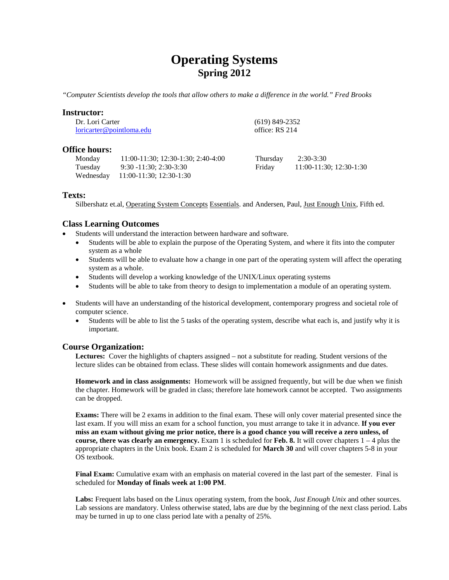# **Operating Systems Spring 2012**

*"Computer Scientists develop the tools that allow others to make a difference in the world." Fred Brooks*

## **Instructor:**

Dr. Lori Carter [loricarter@pointloma.edu](mailto:loricarter@pointloma.edu)  (619) 849-2352 office: RS 214

## **Office hours:**

Monday 11:00-11:30; 12:30-1:30; 2:40-4:00 Tuesday 9:30 -11:30; 2:30-3:30 Wednesday 11:00-11:30; 12:30-1:30

Thursday 2:30-3:30 Friday 11:00-11:30; 12:30-1:30

## **Texts:**

Silbershatz et.al, Operating System Concepts Essentials. and Andersen, Paul, Just Enough Unix, Fifth ed.

# **Class Learning Outcomes**

- Students will understand the interaction between hardware and software.
	- Students will be able to explain the purpose of the Operating System, and where it fits into the computer system as a whole
	- Students will be able to evaluate how a change in one part of the operating system will affect the operating system as a whole.
	- Students will develop a working knowledge of the UNIX/Linux operating systems
	- Students will be able to take from theory to design to implementation a module of an operating system.
- Students will have an understanding of the historical development, contemporary progress and societal role of computer science.
	- Students will be able to list the 5 tasks of the operating system, describe what each is, and justify why it is important.

# **Course Organization:**

**Lectures:** Cover the highlights of chapters assigned – not a substitute for reading. Student versions of the lecture slides can be obtained from eclass. These slides will contain homework assignments and due dates.

**Homework and in class assignments:** Homework will be assigned frequently, but will be due when we finish the chapter. Homework will be graded in class; therefore late homework cannot be accepted. Two assignments can be dropped.

**Exams:** There will be 2 exams in addition to the final exam. These will only cover material presented since the last exam. If you will miss an exam for a school function, you must arrange to take it in advance. **If you ever miss an exam without giving me prior notice, there is a good chance you will receive a zero unless, of course, there was clearly an emergency.** Exam 1 is scheduled for **Feb. 8.** It will cover chapters 1 – 4 plus the appropriate chapters in the Unix book. Exam 2 is scheduled for **March 30** and will cover chapters 5-8 in your OS textbook.

**Final Exam:** Cumulative exam with an emphasis on material covered in the last part of the semester. Final is scheduled for **Monday of finals week at 1:00 PM**.

**Labs:** Frequent labs based on the Linux operating system, from the book, *Just Enough Unix* and other sources. Lab sessions are mandatory. Unless otherwise stated, labs are due by the beginning of the next class period. Labs may be turned in up to one class period late with a penalty of 25%.